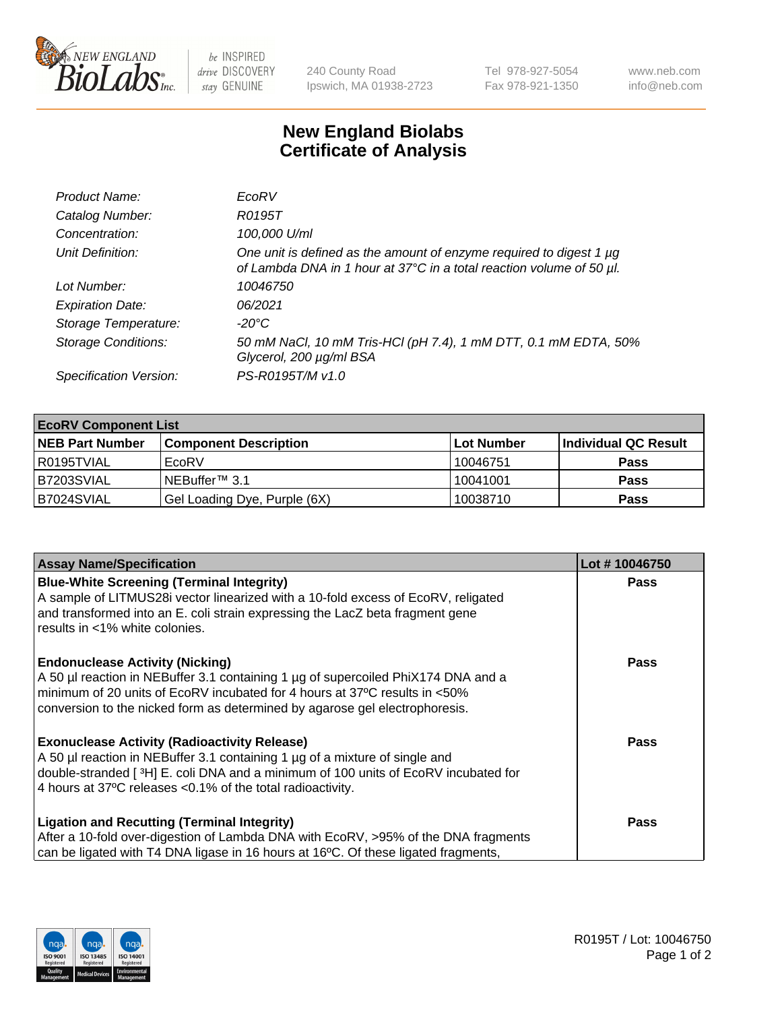

be INSPIRED drive DISCOVERY stay GENUINE

240 County Road Ipswich, MA 01938-2723 Tel 978-927-5054 Fax 978-921-1350 www.neb.com info@neb.com

## **New England Biolabs Certificate of Analysis**

| Product Name:              | EcoRV                                                                                                                                       |
|----------------------------|---------------------------------------------------------------------------------------------------------------------------------------------|
| Catalog Number:            | R0195T                                                                                                                                      |
| Concentration:             | 100,000 U/ml                                                                                                                                |
| Unit Definition:           | One unit is defined as the amount of enzyme required to digest 1 µg<br>of Lambda DNA in 1 hour at 37°C in a total reaction volume of 50 µl. |
| Lot Number:                | 10046750                                                                                                                                    |
| <b>Expiration Date:</b>    | 06/2021                                                                                                                                     |
| Storage Temperature:       | -20°C                                                                                                                                       |
| <b>Storage Conditions:</b> | 50 mM NaCl, 10 mM Tris-HCl (pH 7.4), 1 mM DTT, 0.1 mM EDTA, 50%<br>Glycerol, 200 µg/ml BSA                                                  |
| Specification Version:     | PS-R0195T/M v1.0                                                                                                                            |

| <b>EcoRV Component List</b> |                              |            |                      |  |  |
|-----------------------------|------------------------------|------------|----------------------|--|--|
| <b>NEB Part Number</b>      | <b>Component Description</b> | Lot Number | Individual QC Result |  |  |
| R0195TVIAL                  | EcoRV                        | 10046751   | <b>Pass</b>          |  |  |
| B7203SVIAL                  | NEBuffer <sup>™</sup> 3.1    | 10041001   | <b>Pass</b>          |  |  |
| B7024SVIAL                  | Gel Loading Dye, Purple (6X) | 10038710   | <b>Pass</b>          |  |  |

| <b>Assay Name/Specification</b>                                                                                                                                    | Lot #10046750 |
|--------------------------------------------------------------------------------------------------------------------------------------------------------------------|---------------|
| <b>Blue-White Screening (Terminal Integrity)</b>                                                                                                                   | <b>Pass</b>   |
| A sample of LITMUS28i vector linearized with a 10-fold excess of EcoRV, religated<br>and transformed into an E. coli strain expressing the LacZ beta fragment gene |               |
| results in <1% white colonies.                                                                                                                                     |               |
| <b>Endonuclease Activity (Nicking)</b>                                                                                                                             | Pass          |
| A 50 µl reaction in NEBuffer 3.1 containing 1 µg of supercoiled PhiX174 DNA and a<br>minimum of 20 units of EcoRV incubated for 4 hours at 37°C results in <50%    |               |
| conversion to the nicked form as determined by agarose gel electrophoresis.                                                                                        |               |
|                                                                                                                                                                    |               |
| <b>Exonuclease Activity (Radioactivity Release)</b>                                                                                                                | Pass          |
| A 50 µl reaction in NEBuffer 3.1 containing 1 µg of a mixture of single and                                                                                        |               |
| double-stranded [ <sup>3</sup> H] E. coli DNA and a minimum of 100 units of EcoRV incubated for                                                                    |               |
| 4 hours at 37°C releases < 0.1% of the total radioactivity.                                                                                                        |               |
| <b>Ligation and Recutting (Terminal Integrity)</b>                                                                                                                 | <b>Pass</b>   |
| After a 10-fold over-digestion of Lambda DNA with EcoRV, >95% of the DNA fragments                                                                                 |               |
| can be ligated with T4 DNA ligase in 16 hours at 16 $\degree$ C. Of these ligated fragments,                                                                       |               |